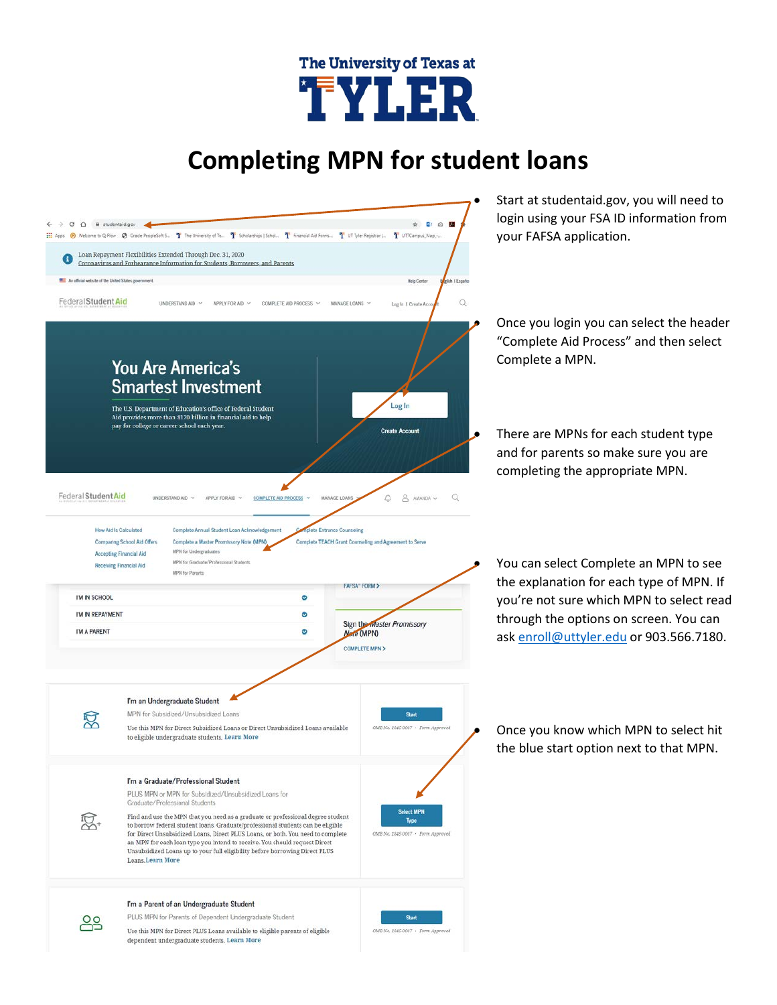# The University of Texas at TYLER

# **Completing MPN for student loans**

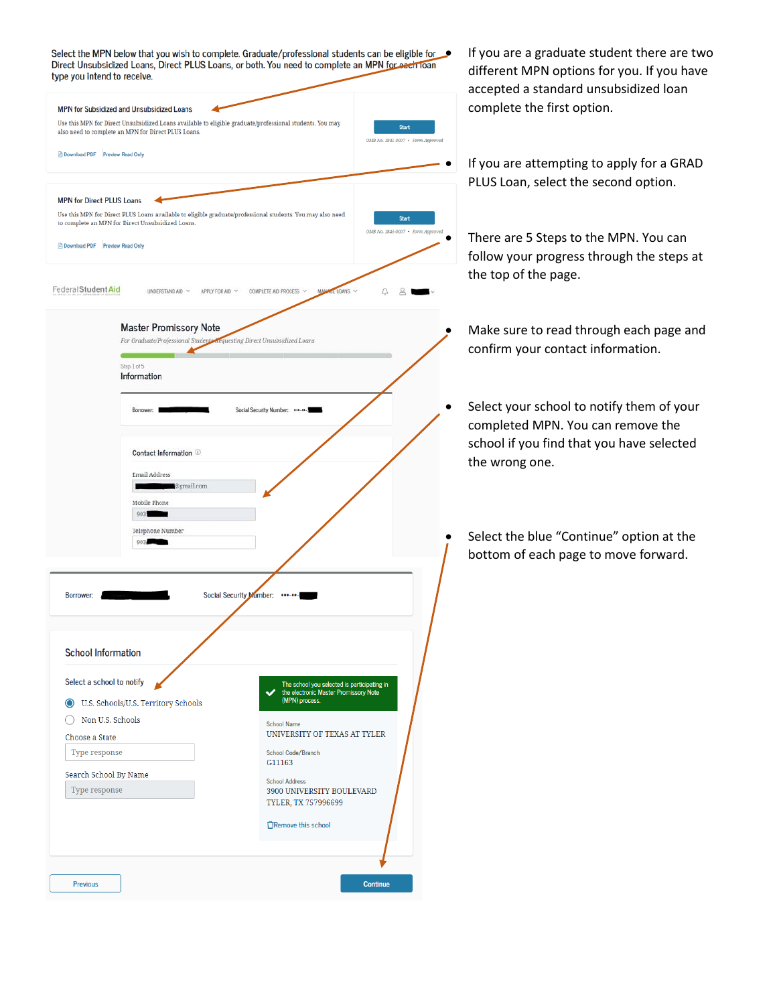Select the MPN below that you wish to complete. Graduate/professional students can be eligible for **figure 16** You are a graduate student there are two Direct Unsubsidized Loans, Direct PLUS Loans, or both. You need to complete an MPN for each loan tung you intend to receive

| Use this MPN for Direct Unsubsidized Loans available to eligible graduate/professional students. You may<br><b>Start</b><br>OMB No. 1845-0007 · Form Approved<br>Use this MPN for Direct PLUS Loans available to eligible graduate/professional students. You may also need<br><b>Start</b><br>OE LOANS<br>UNDERSTAND AID $\sim$<br>APPLY FOR AID ~<br>COMPLETE AID PROCESS $\sim$<br><b>Master Promissory Note</b><br>For Graduate/Professional Students acquesting Direct Unsubsidized Loans<br>Step 1 of 5<br>Information<br>Borrower:<br>Social Security Number: ******-<br>Contact Information <sup>10</sup><br>Email Address<br>@gmail.com<br>Mobile Phone<br>903.<br>Telephone Number<br>903<br><b>Social Security Number:</b><br>Borrower:<br><b>School Information</b><br>Select a school to notify<br>The school you selected is participating in<br>the electronic Master Promissory Note<br>(MPN) process.<br>U.S. Schools/U.S. Territory Schools<br>Non U.S. Schools<br><b>School Name</b><br>UNIVERSITY OF TEXAS AT TYLER<br>Choose a State<br>Type response<br><b>School Code/Branch</b><br>G11163<br>Search School By Name<br><b>School Address</b><br>Type response<br><b>3900 UNIVERSITY BOULEVARD</b><br>TYLER, TX 757996699<br>□Remove this school | type you intend to receive.                                                                                                    |                                   |
|------------------------------------------------------------------------------------------------------------------------------------------------------------------------------------------------------------------------------------------------------------------------------------------------------------------------------------------------------------------------------------------------------------------------------------------------------------------------------------------------------------------------------------------------------------------------------------------------------------------------------------------------------------------------------------------------------------------------------------------------------------------------------------------------------------------------------------------------------------------------------------------------------------------------------------------------------------------------------------------------------------------------------------------------------------------------------------------------------------------------------------------------------------------------------------------------------------------------------------------------------------------------|--------------------------------------------------------------------------------------------------------------------------------|-----------------------------------|
|                                                                                                                                                                                                                                                                                                                                                                                                                                                                                                                                                                                                                                                                                                                                                                                                                                                                                                                                                                                                                                                                                                                                                                                                                                                                        | <b>MPN for Subsidized and Unsubsidized Loans</b><br>also need to complete an MPN for Direct PLUS Loans.                        |                                   |
|                                                                                                                                                                                                                                                                                                                                                                                                                                                                                                                                                                                                                                                                                                                                                                                                                                                                                                                                                                                                                                                                                                                                                                                                                                                                        | Download PDF Preview Read Only                                                                                                 |                                   |
|                                                                                                                                                                                                                                                                                                                                                                                                                                                                                                                                                                                                                                                                                                                                                                                                                                                                                                                                                                                                                                                                                                                                                                                                                                                                        | <b>MPN for Direct PLUS Loans</b><br>to complete an MPN for Direct Unsubsidized Loans.<br><b>Download PDF</b> Preview Read Only | OMB No. 1845-0007 . Form Approved |
|                                                                                                                                                                                                                                                                                                                                                                                                                                                                                                                                                                                                                                                                                                                                                                                                                                                                                                                                                                                                                                                                                                                                                                                                                                                                        | Federal Student Aid                                                                                                            |                                   |
|                                                                                                                                                                                                                                                                                                                                                                                                                                                                                                                                                                                                                                                                                                                                                                                                                                                                                                                                                                                                                                                                                                                                                                                                                                                                        |                                                                                                                                |                                   |
|                                                                                                                                                                                                                                                                                                                                                                                                                                                                                                                                                                                                                                                                                                                                                                                                                                                                                                                                                                                                                                                                                                                                                                                                                                                                        |                                                                                                                                |                                   |
|                                                                                                                                                                                                                                                                                                                                                                                                                                                                                                                                                                                                                                                                                                                                                                                                                                                                                                                                                                                                                                                                                                                                                                                                                                                                        |                                                                                                                                |                                   |
|                                                                                                                                                                                                                                                                                                                                                                                                                                                                                                                                                                                                                                                                                                                                                                                                                                                                                                                                                                                                                                                                                                                                                                                                                                                                        |                                                                                                                                |                                   |
|                                                                                                                                                                                                                                                                                                                                                                                                                                                                                                                                                                                                                                                                                                                                                                                                                                                                                                                                                                                                                                                                                                                                                                                                                                                                        |                                                                                                                                |                                   |
|                                                                                                                                                                                                                                                                                                                                                                                                                                                                                                                                                                                                                                                                                                                                                                                                                                                                                                                                                                                                                                                                                                                                                                                                                                                                        |                                                                                                                                |                                   |

different MPN options for you. If you have accepted a standard unsubsidized loan complete the first option.

• If you are attempting to apply for a GRAD PLUS Loan, select the second option.

• There are 5 Steps to the MPN. You can follow your progress through the steps at the top of the page.

- Make sure to read through each page and confirm your contact information.
- Select your school to notify them of your completed MPN. You can remove the school if you find that you have selected the wrong one.
	- Select the blue "Continue" option at the bottom of each page to move forward.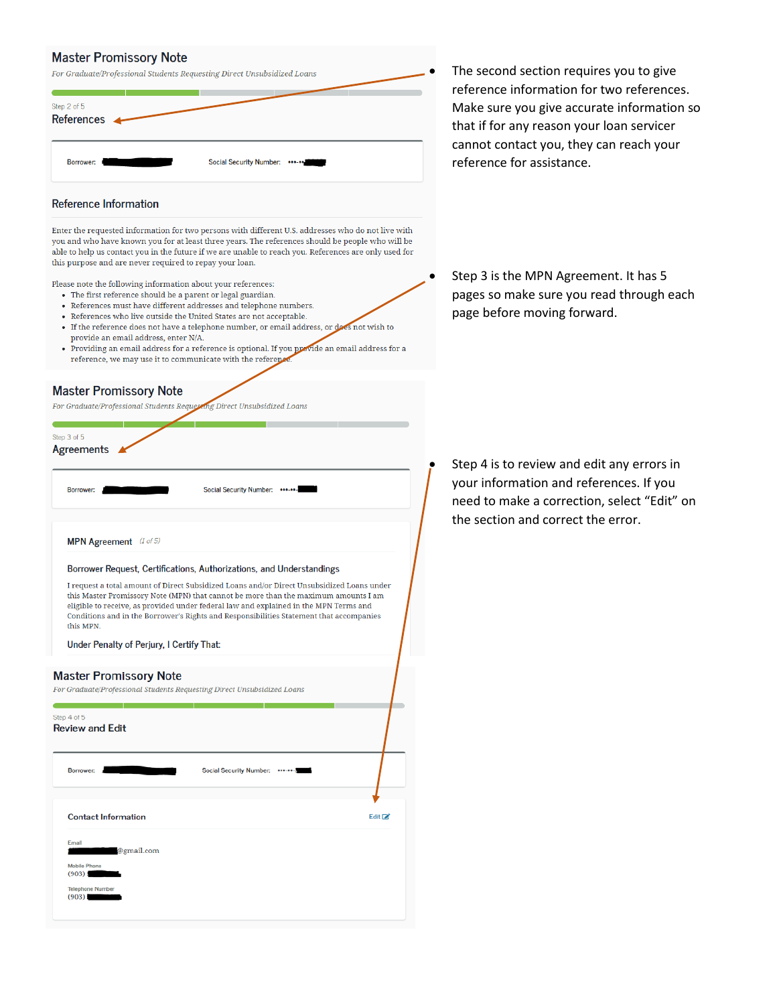### **Master Promissory Note**

| For Graduate/Professional Students Requesting Direct Unsubsidized Loans<br>Step 2 of 5<br>References < |  |
|--------------------------------------------------------------------------------------------------------|--|
| Borrower:                                                                                              |  |

#### **Reference Information**

Enter the requested information for two persons with different U.S. addresses who do not live with you and who have known you for at least three years. The references should be people who will be able to help us contact you in the future if we are unable to reach you. References are only used for this purpose and are never required to repay your loan.

Please note the following information about your references:

- The first reference should be a parent or legal guardian.
- References must have different addresses and telephone numbers.
- References who live outside the United States are not acceptable.
- If the reference does not have a telephone number, or email address, or does not wish to
- provide an email address, enter N/A. • Providing an email address for a reference is optional. If you provide an email address for a reference, we may use it to communicate with the reference

#### **Master Promissory Note**

ng Direct Unsubsidized Loans For Graduate/Professional Students Reques

Step 3 of 5 Agreements 4

| Borrower: |  |
|-----------|--|

MPN Agreement (1 of 5)

Borrower Request, Certifications, Authorizations, and Understandings

I request a total amount of Direct Subsidized Loans and/or Direct Unsubsidized Loans under this Master Promissory Note (MPN) that cannot be more than the maximum amounts I am eligible to receive, as provided under federal law and explained in the MPN Terms and Conditions and in the Borrower's Rights and Responsibilities Statement that accompanies this MPN.

Social Security Number: \*\*\*-\*\*-

Under Penalty of Perjury, I Certify That:

#### **Master Promissory Note**

For Graduate/Professional Students Requesting Direct Unsubsidized Loans

| <b>Contact Information</b> | Edit <b>Z</b> |
|----------------------------|---------------|
| Email<br>@gmail.com        |               |

The second section requires you to give reference information for two references. Make sure you give accurate information so that if for any reason your loan servicer cannot contact you, they can reach your reference for assistance.

Step 3 is the MPN Agreement. It has 5 pages so make sure you read through each page before moving forward.

Step 4 is to review and edit any errors in your information and references. If you need to make a correction, select "Edit" on the section and correct the error.